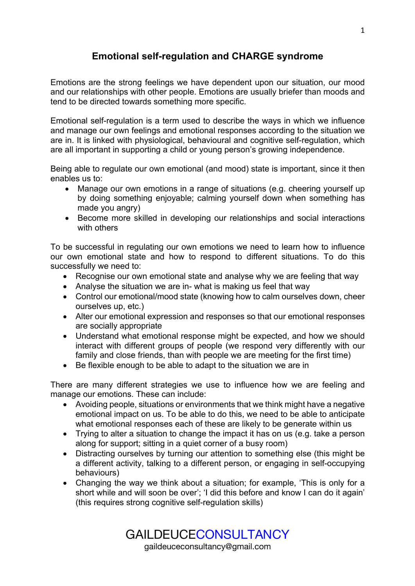### **Emotional self-regulation and CHARGE syndrome**

Emotions are the strong feelings we have dependent upon our situation, our mood and our relationships with other people. Emotions are usually briefer than moods and tend to be directed towards something more specific.

Emotional self-regulation is a term used to describe the ways in which we influence and manage our own feelings and emotional responses according to the situation we are in. It is linked with physiological, behavioural and cognitive self-regulation, which are all important in supporting a child or young person's growing independence.

Being able to regulate our own emotional (and mood) state is important, since it then enables us to:

- Manage our own emotions in a range of situations (e.g. cheering yourself up by doing something enjoyable; calming yourself down when something has made you angry)
- Become more skilled in developing our relationships and social interactions with others

To be successful in regulating our own emotions we need to learn how to influence our own emotional state and how to respond to different situations. To do this successfully we need to:

- Recognise our own emotional state and analyse why we are feeling that way
- Analyse the situation we are in- what is making us feel that way
- Control our emotional/mood state (knowing how to calm ourselves down, cheer ourselves up, etc.)
- Alter our emotional expression and responses so that our emotional responses are socially appropriate
- Understand what emotional response might be expected, and how we should interact with different groups of people (we respond very differently with our family and close friends, than with people we are meeting for the first time)
- Be flexible enough to be able to adapt to the situation we are in

There are many different strategies we use to influence how we are feeling and manage our emotions. These can include:

- Avoiding people, situations or environments that we think might have a negative emotional impact on us. To be able to do this, we need to be able to anticipate what emotional responses each of these are likely to be generate within us
- Trying to alter a situation to change the impact it has on us (e.g. take a person along for support; sitting in a quiet corner of a busy room)
- Distracting ourselves by turning our attention to something else (this might be a different activity, talking to a different person, or engaging in self-occupying behaviours)
- Changing the way we think about a situation; for example, 'This is only for a short while and will soon be over'; 'I did this before and know I can do it again' (this requires strong cognitive self-regulation skills)

1

## **GAILDEUCECONSULTANCY**

gaildeuceconsultancy@gmail.com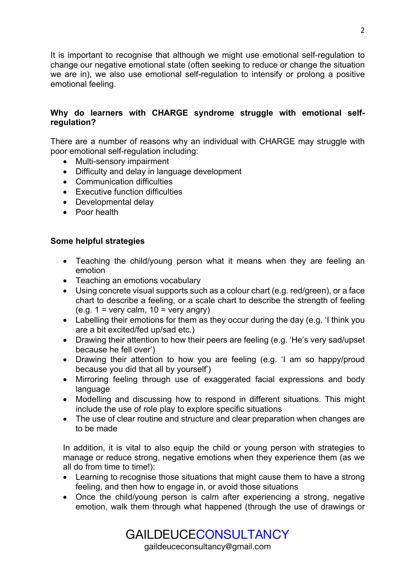It is important to recognise that although we might use emotional self-regulation to change our negative emotional state (often seeking to reduce or change the situation we are in), we also use emotional self-regulation to intensify or prolong a positive emotional feeling.

#### **Why do learners with CHARGE syndrome struggle with emotional selfregulation?**

There are a number of reasons why an individual with CHARGE may struggle with poor emotional self-regulation including:

- Multi-sensory impairment
- Difficulty and delay in language development
- Communication difficulties
- Executive function difficulties
- Developmental delay
- Poor health

#### **Some helpful strategies**

- Teaching the child/young person what it means when they are feeling an emotion
- Teaching an emotions vocabulary
- Using concrete visual supports such as a colour chart (e.g. red/green), or a face chart to describe a feeling, or a scale chart to describe the strength of feeling (e.g.  $1 = \text{very calm}, 10 = \text{very angry}$ )
- Labelling their emotions for them as they occur during the day (e.g. 'I think you are a bit excited/fed up/sad etc.)
- Drawing their attention to how their peers are feeling (e.g. 'He's very sad/upset because he fell over')
- Drawing their attention to how you are feeling (e.g. 'I am so happy/proud because you did that all by yourself')
- Mirroring feeling through use of exaggerated facial expressions and body language
- Modelling and discussing how to respond in different situations. This might include the use of role play to explore specific situations
- The use of clear routine and structure and clear preparation when changes are to be made

In addition, it is vital to also equip the child or young person with strategies to manage or reduce strong, negative emotions when they experience them (as we all do from time to time!):

- Learning to recognise those situations that might cause them to have a strong feeling, and then how to engage in, or avoid those situations
- Once the child/young person is calm after experiencing a strong, negative emotion, walk them through what happened (through the use of drawings or

## **GAILDEUCECONSULTANCY**

gaildeuceconsultancy@gmail.com